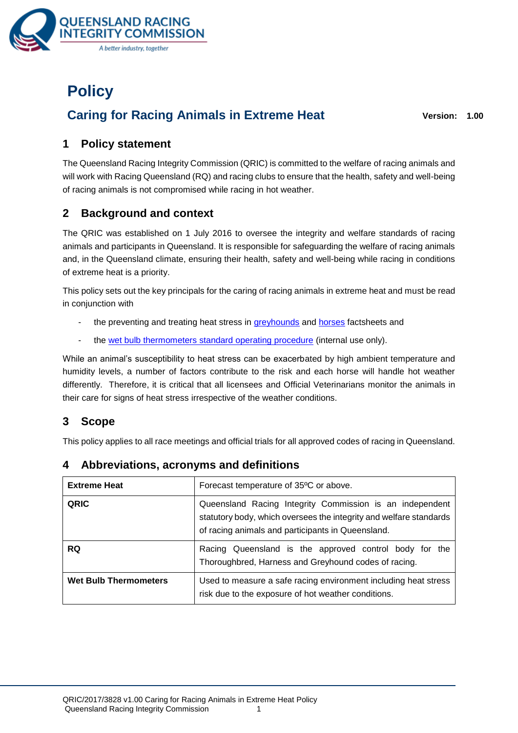

# **Policy**

# **Caring for Racing Animals in Extreme Heat Version: 1.00**

# **1 Policy statement**

The Queensland Racing Integrity Commission (QRIC) is committed to the welfare of racing animals and will work with Racing Queensland (RQ) and racing clubs to ensure that the health, safety and well-being of racing animals is not compromised while racing in hot weather.

# **2 Background and context**

The QRIC was established on 1 July 2016 to oversee the integrity and welfare standards of racing animals and participants in Queensland. It is responsible for safeguarding the welfare of racing animals and, in the Queensland climate, ensuring their health, safety and well-being while racing in conditions of extreme heat is a priority.

This policy sets out the key principals for the caring of racing animals in extreme heat and must be read in conjunction with

- the preventing and treating heat stress in [greyhounds](https://www.qric.qld.gov.au/wp-content/uploads/2017/10/Preventing-and-treating-heat-stress-in-greyhounds.pdf) and [horses](https://www.qric.qld.gov.au/wp-content/uploads/2017/10/Preventing-and-treating-heat-stress-in-horses.pdf) factsheets and
- the [wet bulb thermometers standard operating procedure](http://portal/sites/PR/Register/Business/QRIC/wet-bulb-thermometers-sop.pdf) (internal use only).

While an animal's susceptibility to heat stress can be exacerbated by high ambient temperature and humidity levels, a number of factors contribute to the risk and each horse will handle hot weather differently. Therefore, it is critical that all licensees and Official Veterinarians monitor the animals in their care for signs of heat stress irrespective of the weather conditions.

# **3 Scope**

This policy applies to all race meetings and official trials for all approved codes of racing in Queensland.

| <b>Extreme Heat</b>          | Forecast temperature of 35°C or above.                                                                                                                                              |
|------------------------------|-------------------------------------------------------------------------------------------------------------------------------------------------------------------------------------|
| <b>QRIC</b>                  | Queensland Racing Integrity Commission is an independent<br>statutory body, which oversees the integrity and welfare standards<br>of racing animals and participants in Queensland. |
| <b>RQ</b>                    | Racing Queensland is the approved control body for the<br>Thoroughbred, Harness and Greyhound codes of racing.                                                                      |
| <b>Wet Bulb Thermometers</b> | Used to measure a safe racing environment including heat stress<br>risk due to the exposure of hot weather conditions.                                                              |

# **4 Abbreviations, acronyms and definitions**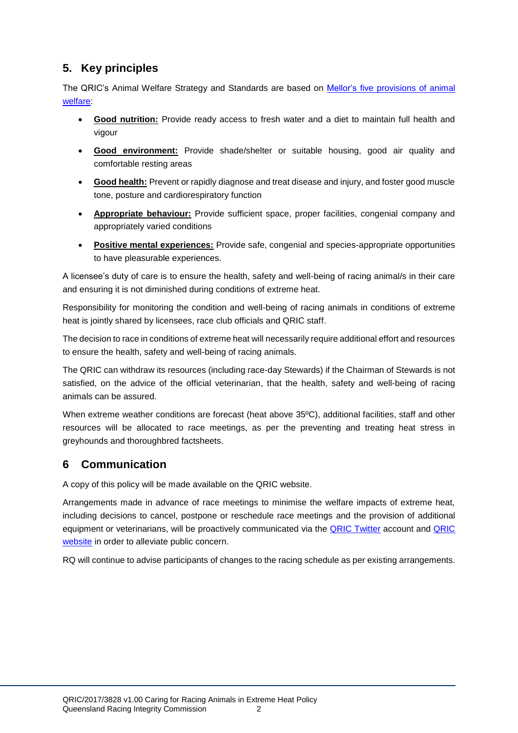# **5. Key principles**

The QRIC's Animal Welfare Strategy and Standards are based on Mellor's [five provisions of animal](http://www.mdpi.com/2076-2615/6/10/59/pdf)  [welfare:](http://www.mdpi.com/2076-2615/6/10/59/pdf)

- **Good nutrition:** Provide ready access to fresh water and a diet to maintain full health and vigour
- **Good environment:** Provide shade/shelter or suitable housing, good air quality and comfortable resting areas
- **Good health:** Prevent or rapidly diagnose and treat disease and injury, and foster good muscle tone, posture and cardiorespiratory function
- **Appropriate behaviour:** Provide sufficient space, proper facilities, congenial company and appropriately varied conditions
- **Positive mental experiences:** Provide safe, congenial and species-appropriate opportunities to have pleasurable experiences.

A licensee's duty of care is to ensure the health, safety and well-being of racing animal/s in their care and ensuring it is not diminished during conditions of extreme heat.

Responsibility for monitoring the condition and well-being of racing animals in conditions of extreme heat is jointly shared by licensees, race club officials and QRIC staff.

The decision to race in conditions of extreme heat will necessarily require additional effort and resources to ensure the health, safety and well-being of racing animals.

The QRIC can withdraw its resources (including race-day Stewards) if the Chairman of Stewards is not satisfied, on the advice of the official veterinarian, that the health, safety and well-being of racing animals can be assured.

When extreme weather conditions are forecast (heat above 35ºC), additional facilities, staff and other resources will be allocated to race meetings, as per the preventing and treating heat stress in greyhounds and thoroughbred factsheets.

# **6 Communication**

A copy of this policy will be made available on the QRIC website.

Arrangements made in advance of race meetings to minimise the welfare impacts of extreme heat, including decisions to cancel, postpone or reschedule race meetings and the provision of additional equipment or veterinarians, will be proactively communicated via the [QRIC Twitter](https://twitter.com/QRICStewards) account and [QRIC](https://www.qric.qld.gov.au/)  [website](https://www.qric.qld.gov.au/) in order to alleviate public concern.

RQ will continue to advise participants of changes to the racing schedule as per existing arrangements.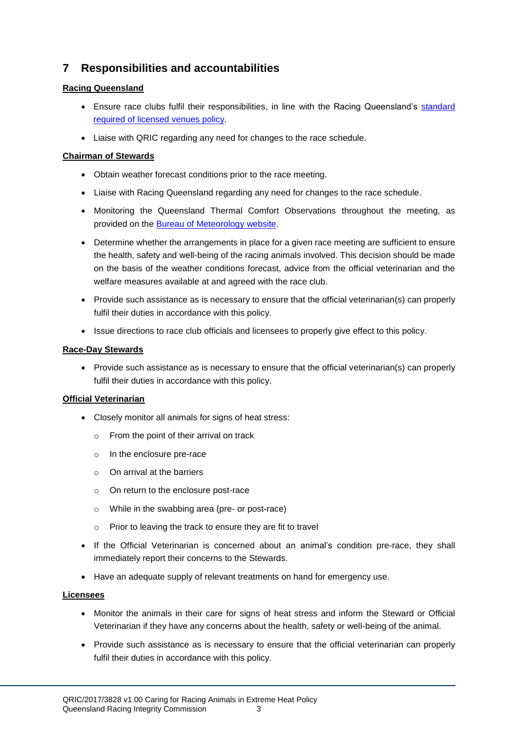# **7 Responsibilities and accountabilities**

#### **Racing Queensland**

- Ensure race clubs fulfil their responsibilities, in line with the Racing Queensland's [standard](http://www.racingqueensland.com.au/getmedia/872880da-7e1a-465c-8e30-fcca65a5de6c/POLI_The_Standard_Required_of_Licensed_Venues_Policy.pdf.aspx) [required of licensed venues](http://www.racingqueensland.com.au/getmedia/872880da-7e1a-465c-8e30-fcca65a5de6c/POLI_The_Standard_Required_of_Licensed_Venues_Policy.pdf.aspx) policy.
- Liaise with QRIC regarding any need for changes to the race schedule.

#### **Chairman of Stewards**

- Obtain weather forecast conditions prior to the race meeting.
- Liaise with Racing Queensland regarding any need for changes to the race schedule.
- Monitoring the Queensland Thermal Comfort Observations throughout the meeting, as provided on the [Bureau of Meteorology](http://www.bom.gov.au/) website.
- Determine whether the arrangements in place for a given race meeting are sufficient to ensure the health, safety and well-being of the racing animals involved. This decision should be made on the basis of the weather conditions forecast, advice from the official veterinarian and the welfare measures available at and agreed with the race club.
- Provide such assistance as is necessary to ensure that the official veterinarian(s) can properly fulfil their duties in accordance with this policy.
- Issue directions to race club officials and licensees to properly give effect to this policy.

#### **Race-Day Stewards**

• Provide such assistance as is necessary to ensure that the official veterinarian(s) can properly fulfil their duties in accordance with this policy.

#### **Official Veterinarian**

- Closely monitor all animals for signs of heat stress:
	- o From the point of their arrival on track
	- o In the enclosure pre-race
	- o On arrival at the barriers
	- o On return to the enclosure post-race
	- o While in the swabbing area (pre- or post-race)
	- o Prior to leaving the track to ensure they are fit to travel
- If the Official Veterinarian is concerned about an animal's condition pre-race, they shall immediately report their concerns to the Stewards.
- Have an adequate supply of relevant treatments on hand for emergency use.

#### **Licensees**

- Monitor the animals in their care for signs of heat stress and inform the Steward or Official Veterinarian if they have any concerns about the health, safety or well-being of the animal.
- Provide such assistance as is necessary to ensure that the official veterinarian can properly fulfil their duties in accordance with this policy.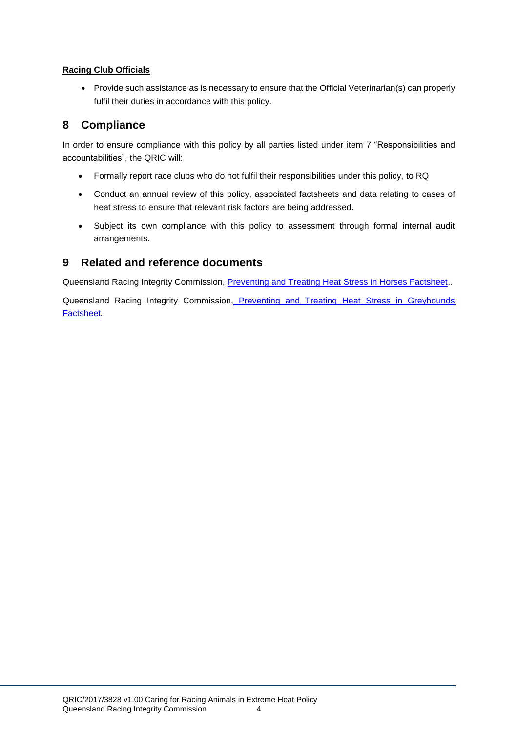#### **Racing Club Officials**

 Provide such assistance as is necessary to ensure that the Official Veterinarian(s) can properly fulfil their duties in accordance with this policy.

## **8 Compliance**

In order to ensure compliance with this policy by all parties listed under item 7 "Responsibilities and accountabilities", the QRIC will:

- Formally report race clubs who do not fulfil their responsibilities under this policy, to RQ
- Conduct an annual review of this policy, associated factsheets and data relating to cases of heat stress to ensure that relevant risk factors are being addressed.
- Subject its own compliance with this policy to assessment through formal internal audit arrangements.

### **9 Related and reference documents**

Queensland Racing Integrity Commission, [Preventing and Treating Heat Stress in Horses Factsheet.](https://www.qric.qld.gov.au/wp-content/uploads/2017/10/Preventing-and-treating-heat-stress-in-horses.pdf)*.* 

Queensland Racing Integrity Commission, Preventing and Treating Heat Stress in Greyhounds [Factsheet](https://www.qric.qld.gov.au/wp-content/uploads/2017/10/Preventing-and-treating-heat-stress-in-greyhounds.pdf)*.*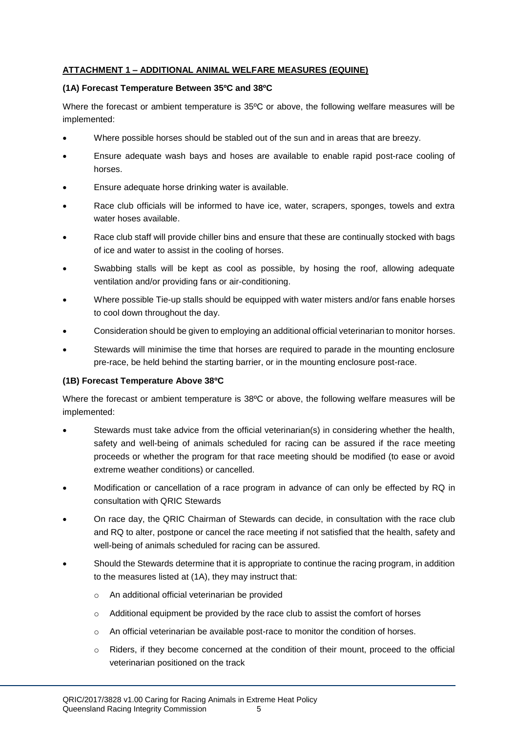#### **ATTACHMENT 1 – ADDITIONAL ANIMAL WELFARE MEASURES (EQUINE)**

#### **(1A) Forecast Temperature Between 35ºC and 38ºC**

Where the forecast or ambient temperature is 35ºC or above, the following welfare measures will be implemented:

- Where possible horses should be stabled out of the sun and in areas that are breezy.
- Ensure adequate wash bays and hoses are available to enable rapid post-race cooling of horses.
- Ensure adequate horse drinking water is available.
- Race club officials will be informed to have ice, water, scrapers, sponges, towels and extra water hoses available.
- Race club staff will provide chiller bins and ensure that these are continually stocked with bags of ice and water to assist in the cooling of horses.
- Swabbing stalls will be kept as cool as possible, by hosing the roof, allowing adequate ventilation and/or providing fans or air-conditioning.
- Where possible Tie-up stalls should be equipped with water misters and/or fans enable horses to cool down throughout the day.
- Consideration should be given to employing an additional official veterinarian to monitor horses.
- Stewards will minimise the time that horses are required to parade in the mounting enclosure pre-race, be held behind the starting barrier, or in the mounting enclosure post-race.

#### **(1B) Forecast Temperature Above 38ºC**

Where the forecast or ambient temperature is 38ºC or above, the following welfare measures will be implemented:

- Stewards must take advice from the official veterinarian(s) in considering whether the health, safety and well-being of animals scheduled for racing can be assured if the race meeting proceeds or whether the program for that race meeting should be modified (to ease or avoid extreme weather conditions) or cancelled.
- Modification or cancellation of a race program in advance of can only be effected by RQ in consultation with QRIC Stewards
- On race day, the QRIC Chairman of Stewards can decide, in consultation with the race club and RQ to alter, postpone or cancel the race meeting if not satisfied that the health, safety and well-being of animals scheduled for racing can be assured.
- Should the Stewards determine that it is appropriate to continue the racing program, in addition to the measures listed at (1A), they may instruct that:
	- o An additional official veterinarian be provided
	- $\circ$  Additional equipment be provided by the race club to assist the comfort of horses
	- o An official veterinarian be available post-race to monitor the condition of horses.
	- $\circ$  Riders, if they become concerned at the condition of their mount, proceed to the official veterinarian positioned on the track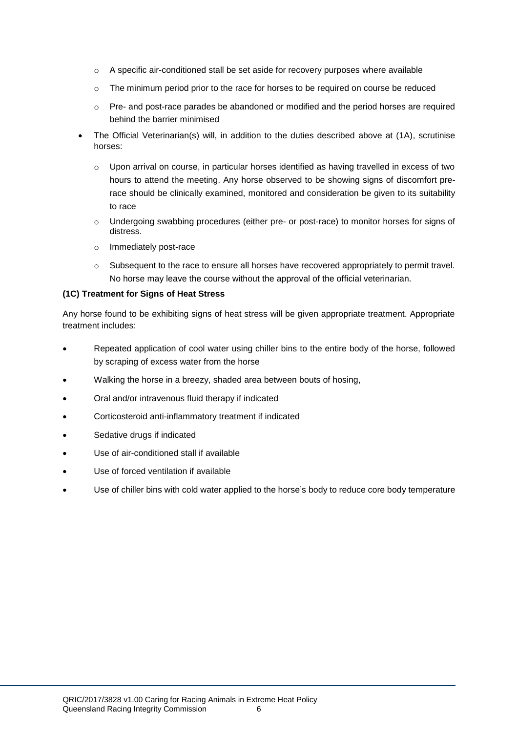- $\circ$  A specific air-conditioned stall be set aside for recovery purposes where available
- o The minimum period prior to the race for horses to be required on course be reduced
- o Pre- and post-race parades be abandoned or modified and the period horses are required behind the barrier minimised
- The Official Veterinarian(s) will, in addition to the duties described above at (1A), scrutinise horses:
	- o Upon arrival on course, in particular horses identified as having travelled in excess of two hours to attend the meeting. Any horse observed to be showing signs of discomfort prerace should be clinically examined, monitored and consideration be given to its suitability to race
	- o Undergoing swabbing procedures (either pre- or post-race) to monitor horses for signs of distress.
	- o Immediately post-race
	- o Subsequent to the race to ensure all horses have recovered appropriately to permit travel. No horse may leave the course without the approval of the official veterinarian.

#### **(1C) Treatment for Signs of Heat Stress**

Any horse found to be exhibiting signs of heat stress will be given appropriate treatment. Appropriate treatment includes:

- Repeated application of cool water using chiller bins to the entire body of the horse, followed by scraping of excess water from the horse
- Walking the horse in a breezy, shaded area between bouts of hosing,
- Oral and/or intravenous fluid therapy if indicated
- Corticosteroid anti-inflammatory treatment if indicated
- Sedative drugs if indicated
- Use of air-conditioned stall if available
- Use of forced ventilation if available
- Use of chiller bins with cold water applied to the horse's body to reduce core body temperature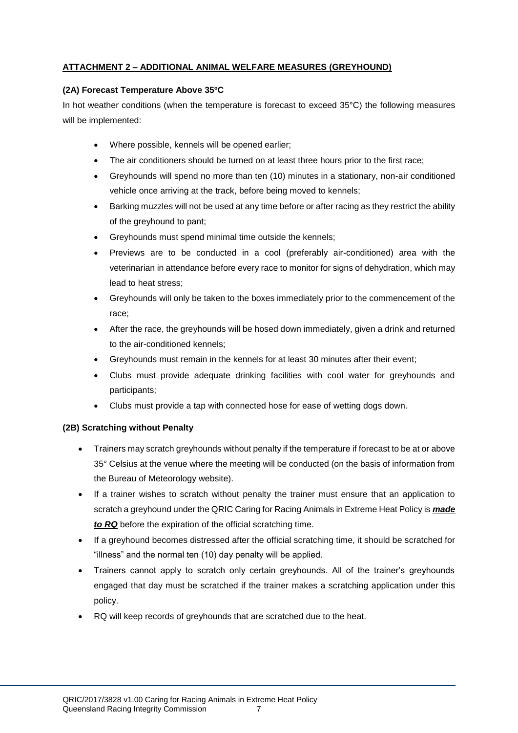#### **ATTACHMENT 2 – ADDITIONAL ANIMAL WELFARE MEASURES (GREYHOUND)**

#### **(2A) Forecast Temperature Above 35ºC**

In hot weather conditions (when the temperature is forecast to exceed 35°C) the following measures will be implemented:

- Where possible, kennels will be opened earlier;
- The air conditioners should be turned on at least three hours prior to the first race;
- Greyhounds will spend no more than ten (10) minutes in a stationary, non-air conditioned vehicle once arriving at the track, before being moved to kennels;
- Barking muzzles will not be used at any time before or after racing as they restrict the ability of the greyhound to pant;
- Greyhounds must spend minimal time outside the kennels;
- Previews are to be conducted in a cool (preferably air-conditioned) area with the veterinarian in attendance before every race to monitor for signs of dehydration, which may lead to heat stress;
- Greyhounds will only be taken to the boxes immediately prior to the commencement of the race;
- After the race, the greyhounds will be hosed down immediately, given a drink and returned to the air-conditioned kennels;
- Greyhounds must remain in the kennels for at least 30 minutes after their event;
- Clubs must provide adequate drinking facilities with cool water for greyhounds and participants;
- Clubs must provide a tap with connected hose for ease of wetting dogs down.

#### **(2B) Scratching without Penalty**

- Trainers may scratch greyhounds without penalty if the temperature if forecast to be at or above 35° Celsius at the venue where the meeting will be conducted (on the basis of information from the Bureau of Meteorology website).
- If a trainer wishes to scratch without penalty the trainer must ensure that an application to scratch a greyhound under the QRIC Caring for Racing Animals in Extreme Heat Policy is *made to RQ* before the expiration of the official scratching time.
- If a greyhound becomes distressed after the official scratching time, it should be scratched for "illness" and the normal ten (10) day penalty will be applied.
- Trainers cannot apply to scratch only certain greyhounds. All of the trainer's greyhounds engaged that day must be scratched if the trainer makes a scratching application under this policy.
- RQ will keep records of greyhounds that are scratched due to the heat.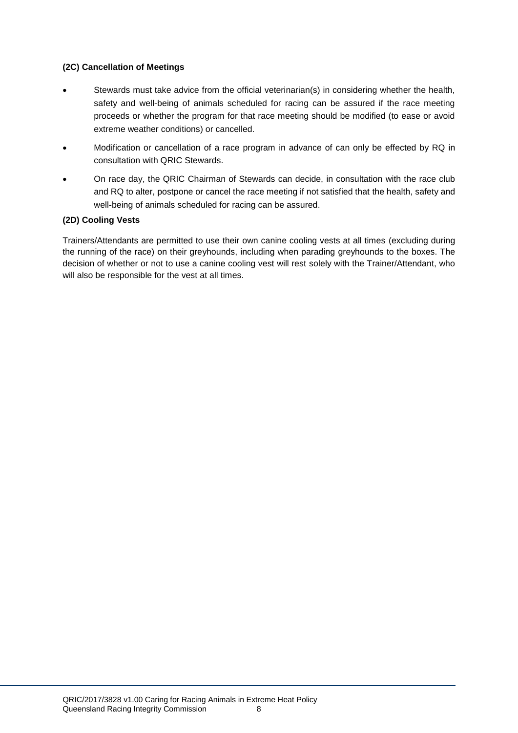#### **(2C) Cancellation of Meetings**

- Stewards must take advice from the official veterinarian(s) in considering whether the health, safety and well-being of animals scheduled for racing can be assured if the race meeting proceeds or whether the program for that race meeting should be modified (to ease or avoid extreme weather conditions) or cancelled.
- Modification or cancellation of a race program in advance of can only be effected by RQ in consultation with QRIC Stewards.
- On race day, the QRIC Chairman of Stewards can decide, in consultation with the race club and RQ to alter, postpone or cancel the race meeting if not satisfied that the health, safety and well-being of animals scheduled for racing can be assured.

#### **(2D) Cooling Vests**

Trainers/Attendants are permitted to use their own canine cooling vests at all times (excluding during the running of the race) on their greyhounds, including when parading greyhounds to the boxes. The decision of whether or not to use a canine cooling vest will rest solely with the Trainer/Attendant, who will also be responsible for the vest at all times.